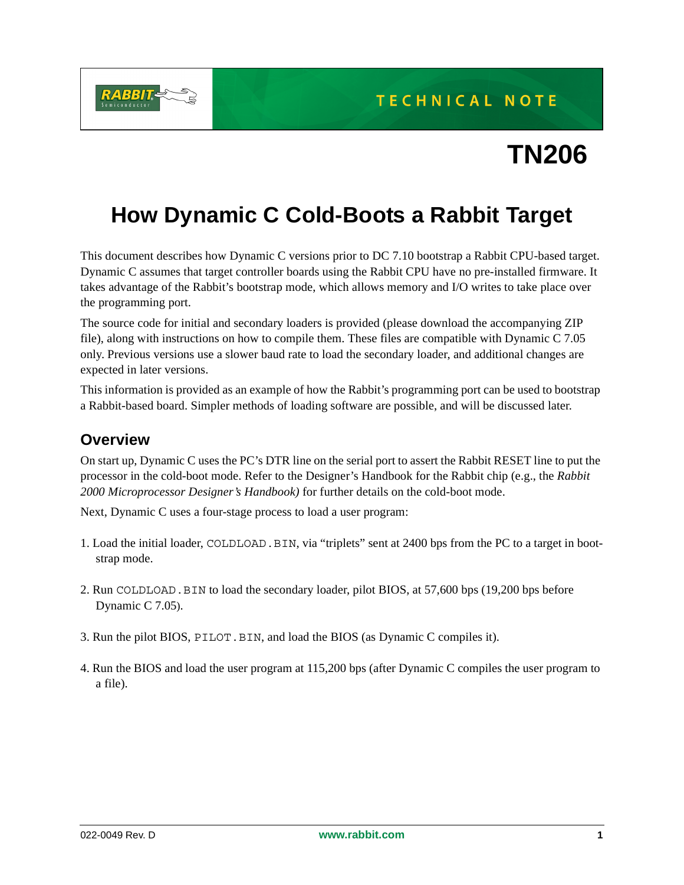TECHNICAL NOTE



# **TN206**

## **How Dynamic C Cold-Boots a Rabbit Target**

This document describes how Dynamic C versions prior to DC 7.10 bootstrap a Rabbit CPU-based target. Dynamic C assumes that target controller boards using the Rabbit CPU have no pre-installed firmware. It takes advantage of the Rabbit's bootstrap mode, which allows memory and I/O writes to take place over the programming port.

The source code for initial and secondary loaders is provided (please download the accompanying ZIP file), along with instructions on how to compile them. These files are compatible with Dynamic C 7.05 only. Previous versions use a slower baud rate to load the secondary loader, and additional changes are expected in later versions.

This information is provided as an example of how the Rabbit's programming port can be used to bootstrap a Rabbit-based board. Simpler methods of loading software are possible, and will be discussed later.

#### **Overview**

On start up, Dynamic C uses the PC's DTR line on the serial port to assert the Rabbit RESET line to put the processor in the cold-boot mode. Refer to the Designer's Handbook for the Rabbit chip (e.g., the *Rabbit 2000 Microprocessor Designer's Handbook)* for further details on the cold-boot mode.

Next, Dynamic C uses a four-stage process to load a user program:

- 1. Load the initial loader, COLDLOAD.BIN, via "triplets" sent at 2400 bps from the PC to a target in bootstrap mode.
- 2. Run COLDLOAD.BIN to load the secondary loader, pilot BIOS, at 57,600 bps (19,200 bps before Dynamic C 7.05).
- 3. Run the pilot BIOS, PILOT.BIN, and load the BIOS (as Dynamic C compiles it).
- 4. Run the BIOS and load the user program at 115,200 bps (after Dynamic C compiles the user program to a file).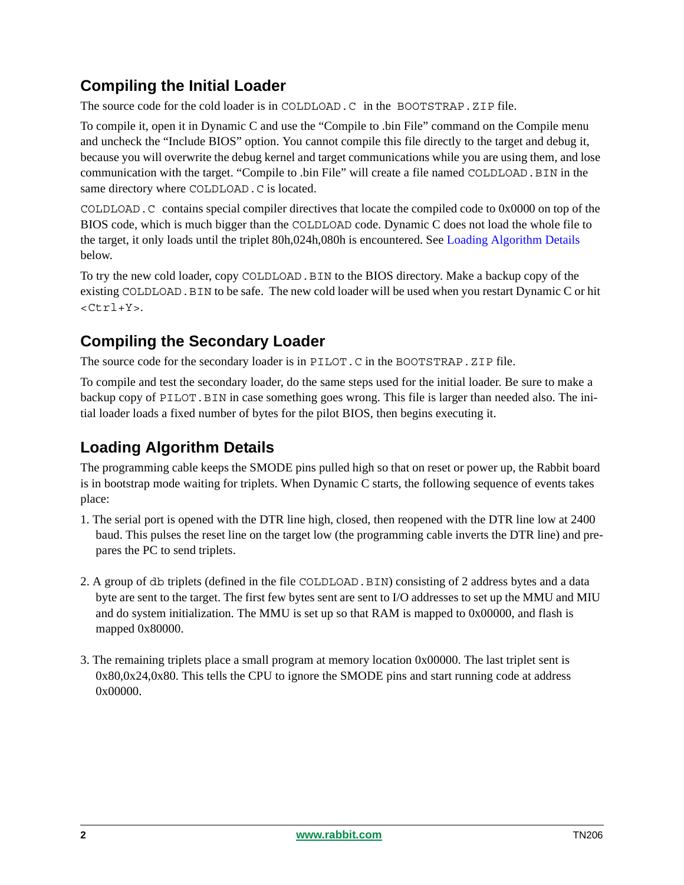#### **Compiling the Initial Loader**

The source code for the cold loader is in COLDLOAD.C in the BOOTSTRAP.ZIP file.

To compile it, open it in Dynamic C and use the "Compile to .bin File" command on the Compile menu and uncheck the "Include BIOS" option. You cannot compile this file directly to the target and debug it, because you will overwrite the debug kernel and target communications while you are using them, and lose communication with the target. "Compile to .bin File" will create a file named COLDLOAD.BIN in the same directory where COLDLOAD. C is located.

COLDLOAD.C contains special compiler directives that locate the compiled code to 0x0000 on top of the BIOS code, which is much bigger than the COLDLOAD code. Dynamic C does not load the whole file to the target, it only loads until the triplet 80h,024h,080h is encountered. See [Loading Algorithm Details](#page-1-0) below.

To try the new cold loader, copy COLDLOAD. BIN to the BIOS directory. Make a backup copy of the existing COLDLOAD.BIN to be safe. The new cold loader will be used when you restart Dynamic C or hit  $<$ Ctrl+Y>.

#### **Compiling the Secondary Loader**

The source code for the secondary loader is in PILOT. C in the BOOTSTRAP. ZIP file.

To compile and test the secondary loader, do the same steps used for the initial loader. Be sure to make a backup copy of PILOT.BIN in case something goes wrong. This file is larger than needed also. The initial loader loads a fixed number of bytes for the pilot BIOS, then begins executing it.

### <span id="page-1-0"></span>**Loading Algorithm Details**

The programming cable keeps the SMODE pins pulled high so that on reset or power up, the Rabbit board is in bootstrap mode waiting for triplets. When Dynamic C starts, the following sequence of events takes place:

- 1. The serial port is opened with the DTR line high, closed, then reopened with the DTR line low at 2400 baud. This pulses the reset line on the target low (the programming cable inverts the DTR line) and prepares the PC to send triplets.
- 2. A group of db triplets (defined in the file COLDLOAD.BIN) consisting of 2 address bytes and a data byte are sent to the target. The first few bytes sent are sent to I/O addresses to set up the MMU and MIU and do system initialization. The MMU is set up so that RAM is mapped to 0x00000, and flash is mapped 0x80000.
- 3. The remaining triplets place a small program at memory location 0x00000. The last triplet sent is 0x80,0x24,0x80. This tells the CPU to ignore the SMODE pins and start running code at address 0x00000.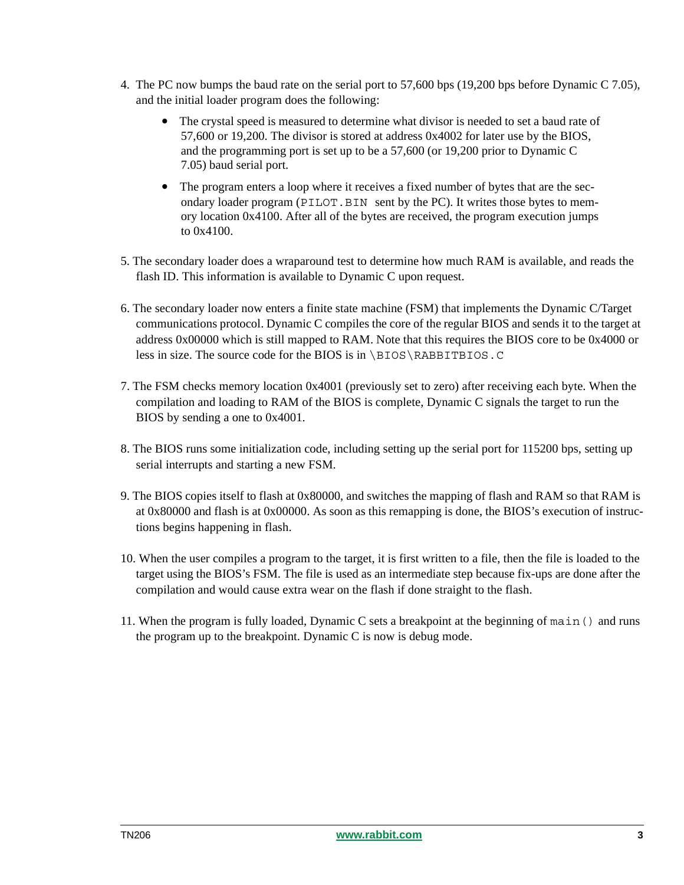- 4. The PC now bumps the baud rate on the serial port to 57,600 bps (19,200 bps before Dynamic C 7.05), and the initial loader program does the following:
	- The crystal speed is measured to determine what divisor is needed to set a baud rate of 57,600 or 19,200. The divisor is stored at address 0x4002 for later use by the BIOS, and the programming port is set up to be a 57,600 (or 19,200 prior to Dynamic C 7.05) baud serial port.
	- The program enters a loop where it receives a fixed number of bytes that are the secondary loader program (PILOT.BIN sent by the PC). It writes those bytes to memory location 0x4100. After all of the bytes are received, the program execution jumps to 0x4100.
- 5. The secondary loader does a wraparound test to determine how much RAM is available, and reads the flash ID. This information is available to Dynamic C upon request.
- 6. The secondary loader now enters a finite state machine (FSM) that implements the Dynamic C/Target communications protocol. Dynamic C compiles the core of the regular BIOS and sends it to the target at address 0x00000 which is still mapped to RAM. Note that this requires the BIOS core to be 0x4000 or less in size. The source code for the BIOS is in \BIOS\RABBITBIOS.C
- 7. The FSM checks memory location 0x4001 (previously set to zero) after receiving each byte. When the compilation and loading to RAM of the BIOS is complete, Dynamic C signals the target to run the BIOS by sending a one to 0x4001.
- 8. The BIOS runs some initialization code, including setting up the serial port for 115200 bps, setting up serial interrupts and starting a new FSM.
- 9. The BIOS copies itself to flash at 0x80000, and switches the mapping of flash and RAM so that RAM is at 0x80000 and flash is at 0x00000. As soon as this remapping is done, the BIOS's execution of instructions begins happening in flash.
- 10. When the user compiles a program to the target, it is first written to a file, then the file is loaded to the target using the BIOS's FSM. The file is used as an intermediate step because fix-ups are done after the compilation and would cause extra wear on the flash if done straight to the flash.
- 11. When the program is fully loaded, Dynamic C sets a breakpoint at the beginning of main() and runs the program up to the breakpoint. Dynamic C is now is debug mode.